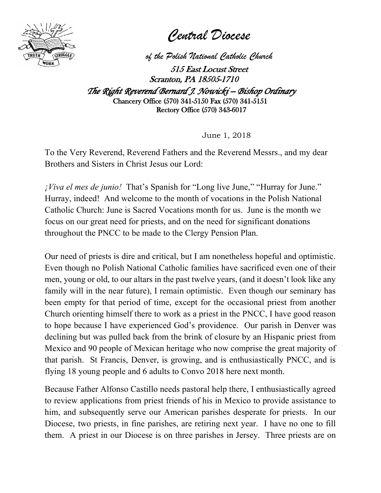

*Central Diocese*

*of the Polish National Catholic Church*

515 East Locust Street Scranton, PA 18505-1710

*The Right Reverend Bernard J. Nowicki – Bishop Ordinary* Chancery Office (570) 341-5150 Fax (570) 341-5151 Rectory Office (570) 343-6017

June 1, 2018

To the Very Reverend, Reverend Fathers and the Reverend Messrs., and my dear Brothers and Sisters in Christ Jesus our Lord:

*¡Viva el mes de junio!* That's Spanish for "Long live June," "Hurray for June." Hurray, indeed! And welcome to the month of vocations in the Polish National Catholic Church: June is Sacred Vocations month for us. June is the month we focus on our great need for priests, and on the need for significant donations throughout the PNCC to be made to the Clergy Pension Plan.

Our need of priests is dire and critical, but I am nonetheless hopeful and optimistic. Even though no Polish National Catholic families have sacrificed even one of their men, young or old, to our altars in the past twelve years, (and it doesn't look like any family will in the near future), I remain optimistic. Even though our seminary has been empty for that period of time, except for the occasional priest from another Church orienting himself there to work as a priest in the PNCC, I have good reason to hope because I have experienced God's providence. Our parish in Denver was declining but was pulled back from the brink of closure by an Hispanic priest from Mexico and 90 people of Mexican heritage who now comprise the great majority of that parish. St Francis, Denver, is growing, and is enthusiastically PNCC, and is flying 18 young people and 6 adults to Convo 2018 here next month.

Because Father Alfonso Castillo needs pastoral help there, I enthusiastically agreed to review applications from priest friends of his in Mexico to provide assistance to him, and subsequently serve our American parishes desperate for priests. In our Diocese, two priests, in fine parishes, are retiring next year. I have no one to fill them. A priest in our Diocese is on three parishes in Jersey. Three priests are on